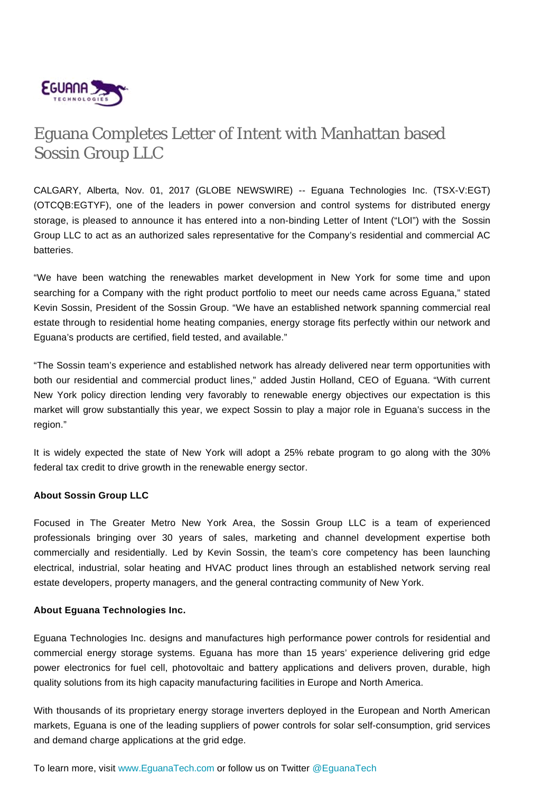

## Eguana Completes Letter of Intent with Manhattan based Sossin Group LLC

CALGARY, Alberta, Nov. 01, 2017 (GLOBE NEWSWIRE) -- Eguana Technologies Inc. (TSX-V:EGT) (OTCQB:EGTYF), one of the leaders in power conversion and control systems for distributed energy storage, is pleased to announce it has entered into a non-binding Letter of Intent ("LOI") with the Sossin Group LLC to act as an authorized sales representative for the Company's residential and commercial AC batteries.

"We have been watching the renewables market development in New York for some time and upon searching for a Company with the right product portfolio to meet our needs came across Eguana," stated Kevin Sossin, President of the Sossin Group. "We have an established network spanning commercial real estate through to residential home heating companies, energy storage fits perfectly within our network and Eguana's products are certified, field tested, and available."

"The Sossin team's experience and established network has already delivered near term opportunities with both our residential and commercial product lines," added Justin Holland, CEO of Eguana. "With current New York policy direction lending very favorably to renewable energy objectives our expectation is this market will grow substantially this year, we expect Sossin to play a major role in Eguana's success in the region."

It is widely expected the state of New York will adopt a 25% rebate program to go along with the 30% federal tax credit to drive growth in the renewable energy sector.

## **About Sossin Group LLC**

Focused in The Greater Metro New York Area, the Sossin Group LLC is a team of experienced professionals bringing over 30 years of sales, marketing and channel development expertise both commercially and residentially. Led by Kevin Sossin, the team's core competency has been launching electrical, industrial, solar heating and HVAC product lines through an established network serving real estate developers, property managers, and the general contracting community of New York.

## **About Eguana Technologies Inc.**

Eguana Technologies Inc. designs and manufactures high performance power controls for residential and commercial energy storage systems. Eguana has more than 15 years' experience delivering grid edge power electronics for fuel cell, photovoltaic and battery applications and delivers proven, durable, high quality solutions from its high capacity manufacturing facilities in Europe and North America.

With thousands of its proprietary energy storage inverters deployed in the European and North American markets, Eguana is one of the leading suppliers of power controls for solar self-consumption, grid services and demand charge applications at the grid edge.

To learn more, visit [www.EguanaTech.com](http://www.eguanatech.com/) or follow us on Twitter [@EguanaTech](https://twitter.com/EguanaTech)